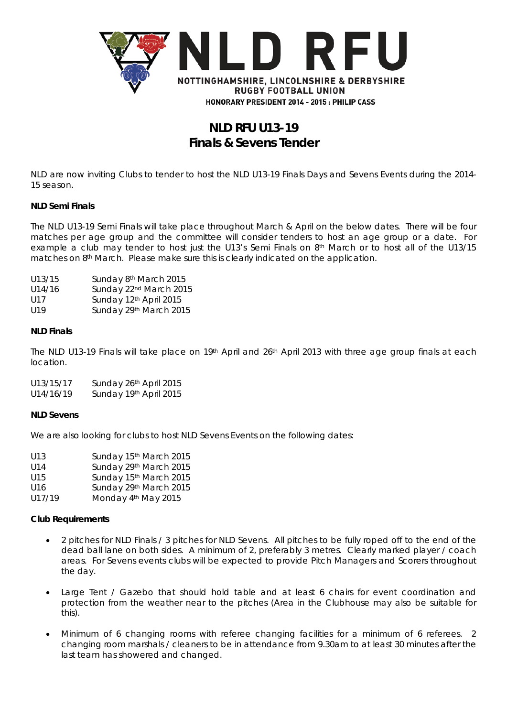

# **NLD RFU U13-19 Finals & Sevens Tender**

NLD are now inviting Clubs to tender to host the NLD U13-19 Finals Days and Sevens Events during the 2014- 15 season.

#### **NLD Semi Finals**

The NLD U13-19 Semi Finals will take place throughout March & April on the below dates. There will be four matches per age group and the committee will consider tenders to host an age group or a date. For example a club may tender to host just the U13's Semi Finals on 8th March or to host all of the U13/15 matches on  $8<sup>th</sup>$  March. Please make sure this is clearly indicated on the application.

- U14/16 Sunday 22<sup>nd</sup> March 2015
- U17 Sunday 12<sup>th</sup> April 2015
- U19 Sunday 29<sup>th</sup> March 2015

#### **NLD Finals**

The NLD U13-19 Finals will take place on 19th April and 26th April 2013 with three age group finals at each location.

U13/15/17 Sunday 26th April 2015 U14/16/19 Sunday 19th April 2015

#### **NLD Sevens**

We are also looking for clubs to host NLD Sevens Events on the following dates:

| U13    | Sunday 15th March 2015          |
|--------|---------------------------------|
| U14    | Sunday 29th March 2015          |
| U15    | Sunday 15th March 2015          |
| U16    | Sunday 29th March 2015          |
| U17/19 | Monday 4 <sup>th</sup> May 2015 |

#### **Club Requirements**

- 2 pitches for NLD Finals / 3 pitches for NLD Sevens. All pitches to be fully roped off to the end of the dead ball lane on both sides. A minimum of 2, preferably 3 metres. Clearly marked player / coach areas. For Sevens events clubs will be expected to provide Pitch Managers and Scorers throughout the day.
- Large Tent / Gazebo that should hold table and at least 6 chairs for event coordination and protection from the weather near to the pitches (Area in the Clubhouse may also be suitable for this).
- Minimum of 6 changing rooms with referee changing facilities for a minimum of 6 referees. 2 changing room marshals / cleaners to be in attendance from 9.30am to at least 30 minutes after the last team has showered and changed.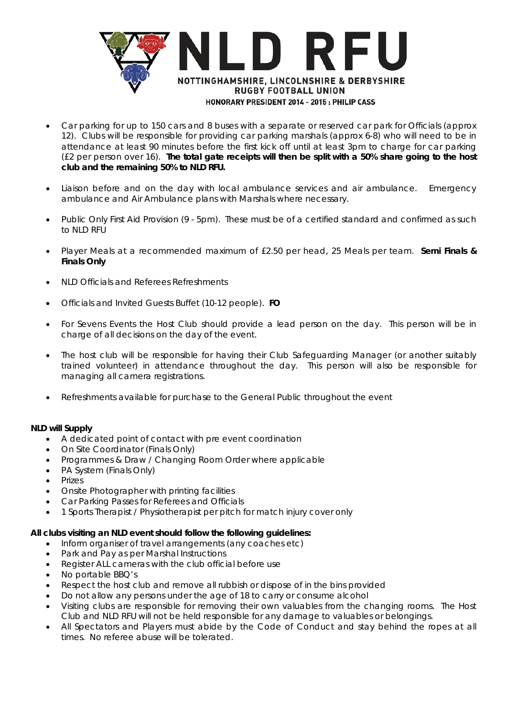

- Car parking for up to 150 cars and 8 buses with a separate or reserved car park for Officials (approx 12). Clubs will be responsible for providing car parking marshals (approx 6-8) who will need to be in attendance at least 90 minutes before the first kick off until at least 3pm to charge for car parking (£2 per person over 16). **The total gate receipts will then be split with a 50% share going to the host club and the remaining 50% to NLD RFU.**
- Liaison before and on the day with local ambulance services and air ambulance. Emergency ambulance and Air Ambulance plans with Marshals where necessary.
- Public Only First Aid Provision (9 5pm). These must be of a certified standard and confirmed as such to NLD RFU
- Player Meals at a recommended maximum of £2.50 per head, 25 Meals per team. **Semi Finals & Finals Only**
- NLD Officials and Referees Refreshments
- Officials and Invited Guests Buffet (10-12 people). **FO**
- For Sevens Events the Host Club should provide a lead person on the day. This person will be in charge of all decisions on the day of the event.
- The host club will be responsible for having their Club Safeguarding Manager (or another suitably trained volunteer) in attendance throughout the day. This person will also be responsible for managing all camera registrations.
- Refreshments available for purchase to the General Public throughout the event

#### **NLD will Supply**

- A dedicated point of contact with pre event coordination
- On Site Coordinator (Finals Only)
- Programmes & Draw / Changing Room Order where applicable
- PA System (Finals Only)
- Prizes
- Onsite Photographer with printing facilities
- Car Parking Passes for Referees and Officials
- 1 Sports Therapist / Physiotherapist per pitch for match injury cover only

#### **All clubs visiting an NLD event should follow the following guidelines:**

- Inform organiser of travel arrangements (any coaches etc)
- Park and Pay as per Marshal Instructions
- Register ALL cameras with the club official before use
- No portable BBQ's
- Respect the host club and remove all rubbish or dispose of in the bins provided
- Do not allow any persons under the age of 18 to carry or consume alcohol
- Visiting clubs are responsible for removing their own valuables from the changing rooms. The Host Club and NLD RFU will not be held responsible for any damage to valuables or belongings.
- All Spectators and Players must abide by the Code of Conduct and stay behind the ropes at all times. No referee abuse will be tolerated.